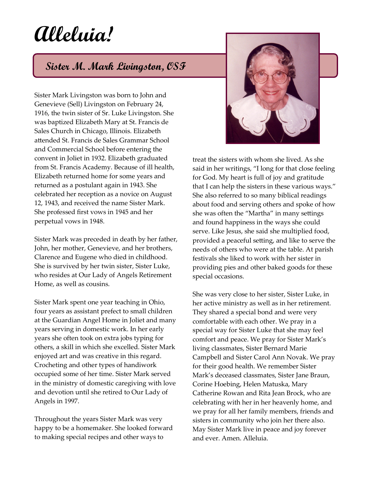## **Alleluia!**

## **Sister M. Mark Livingston, OSF**

Sister Mark Livingston was born to John and Genevieve (Sell) Livingston on February 24, 1916, the twin sister of Sr. Luke Livingston. She was baptized Elizabeth Mary at St. Francis de Sales Church in Chicago, Illinois. Elizabeth attended St. Francis de Sales Grammar School and Commercial School before entering the convent in Joliet in 1932. Elizabeth graduated from St. Francis Academy. Because of ill health, Elizabeth returned home for some years and returned as a postulant again in 1943. She celebrated her reception as a novice on August 12, 1943, and received the name Sister Mark. She professed first vows in 1945 and her perpetual vows in 1948.

Sister Mark was preceded in death by her father, John, her mother, Genevieve, and her brothers, Clarence and Eugene who died in childhood. She is survived by her twin sister, Sister Luke, who resides at Our Lady of Angels Retirement Home, as well as cousins.

Sister Mark spent one year teaching in Ohio, four years as assistant prefect to small children at the Guardian Angel Home in Joliet and many years serving in domestic work. In her early years she often took on extra jobs typing for others, a skill in which she excelled. Sister Mark enjoyed art and was creative in this regard. Crocheting and other types of handiwork occupied some of her time. Sister Mark served in the ministry of domestic caregiving with love and devotion until she retired to Our Lady of Angels in 1997.

Throughout the years Sister Mark was very happy to be a homemaker. She looked forward to making special recipes and other ways to



treat the sisters with whom she lived. As she said in her writings, "I long for that close feeling for God. My heart is full of joy and gratitude that I can help the sisters in these various ways." She also referred to so many biblical readings about food and serving others and spoke of how she was often the "Martha" in many settings and found happiness in the ways she could serve. Like Jesus, she said she multiplied food, provided a peaceful setting, and like to serve the needs of others who were at the table. At parish festivals she liked to work with her sister in providing pies and other baked goods for these special occasions.

She was very close to her sister, Sister Luke, in her active ministry as well as in her retirement. They shared a special bond and were very comfortable with each other. We pray in a special way for Sister Luke that she may feel comfort and peace. We pray for Sister Mark's living classmates, Sister Bernard Marie Campbell and Sister Carol Ann Novak. We pray for their good health. We remember Sister Mark's deceased classmates, Sister Jane Braun, Corine Hoebing, Helen Matuska, Mary Catherine Rowan and Rita Jean Brock, who are celebrating with her in her heavenly home, and we pray for all her family members, friends and sisters in community who join her there also. May Sister Mark live in peace and joy forever and ever. Amen. Alleluia.